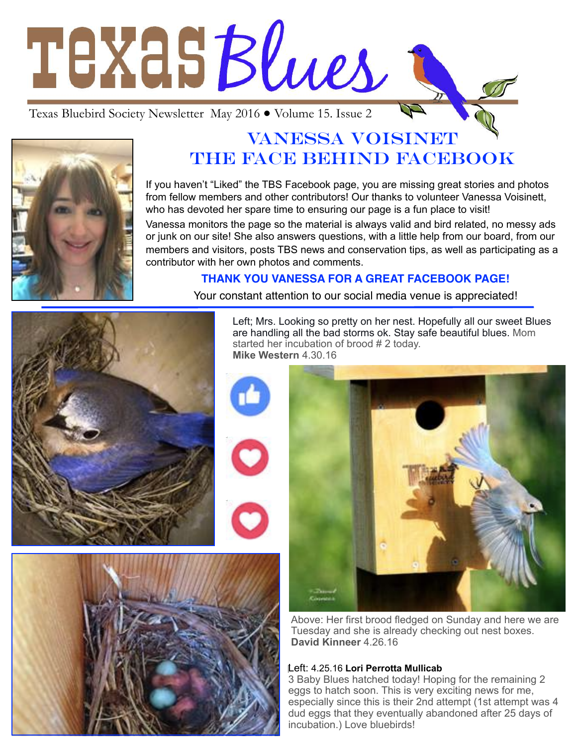# TEXASBlues

Texas Bluebird Society Newsletter May 2016 ● Volume 15. Issue 2



# VANESSA VOISINET THE FACE BEHIND FACEBOOK

If you haven't "Liked" the TBS Facebook page, you are missing great stories and photos from fellow members and other contributors! Our thanks to volunteer Vanessa Voisinett, who has devoted her spare time to ensuring our page is a fun place to visit!

Vanessa monitors the page so the material is always valid and bird related, no messy ads or junk on our site! She also answers questions, with a little help from our board, from our members and visitors, posts TBS news and conservation tips, as well as participating as a contributor with her own photos and comments.

### **THANK YOU VANESSA FOR A GREAT FACEBOOK PAGE!**



Your constant attention to our social media venue is appreciated!

Left; Mrs. Looking so pretty on her nest. Hopefully all our sweet Blues are handling all the bad storms ok. Stay safe beautiful blues. Mom started her incubation of brood # 2 today. **Mike Western** 4.30.16





Above: Her first brood fledged on Sunday and here we are Tuesday and she is already checking out nest boxes. **David Kinneer** 4.26.16

#### Left: 4.25.16 **Lori Perrotta Mullicab**

3 Baby Blues hatched today! Hoping for the remaining 2 eggs to hatch soon. This is very exciting news for me, especially since this is their 2nd attempt (1st attempt was 4 dud eggs that they eventually abandoned after 25 days of incubation.) Love bluebirds!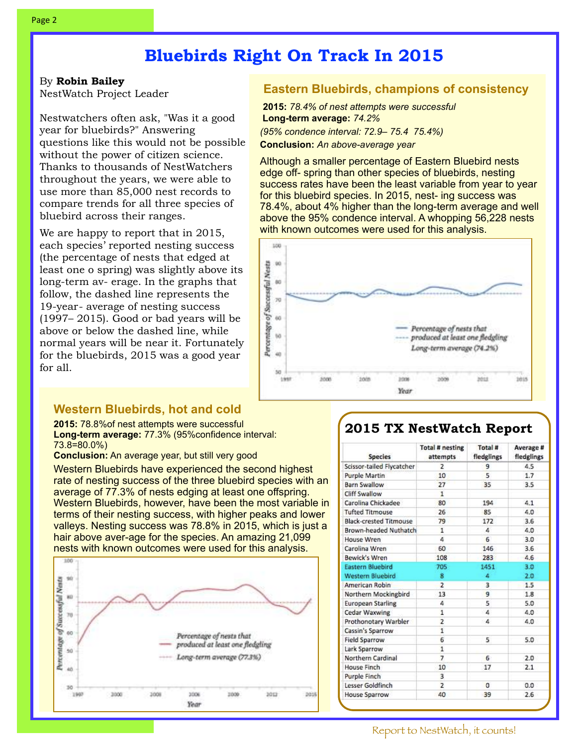# **Bluebirds Right On Track In 2015**

#### By **Robin Bailey**

NestWatch Project Leader

Nestwatchers often ask, "Was it a good year for bluebirds?" Answering questions like this would not be possible without the power of citizen science. Thanks to thousands of NestWatchers throughout the years, we were able to use more than 85,000 nest records to compare trends for all three species of bluebird across their ranges.

We are happy to report that in 2015, each species' reported nesting success (the percentage of nests that edged at least one o spring) was slightly above its long-term av- erage. In the graphs that follow, the dashed line represents the 19-year- average of nesting success (1997– 2015). Good or bad years will be above or below the dashed line, while normal years will be near it. Fortunately for the bluebirds, 2015 was a good year for all.

#### **Western Bluebirds, hot and cold**

**2015:** 78.8%of nest attempts were successful **Long-term average:** 77.3% (95%confidence interval: 73.8=80.0%)

**Conclusion:** An average year, but still very good

Western Bluebirds have experienced the second highest rate of nesting success of the three bluebird species with an average of 77.3% of nests edging at least one offspring. Western Bluebirds, however, have been the most variable in terms of their nesting success, with higher peaks and lower valleys. Nesting success was 78.8% in 2015, which is just a hair above aver-age for the species. An amazing 21,099 nests with known outcomes were used for this analysis.



#### **Eastern Bluebirds, champions of consistency**

**2015:** *78.4% of nest attempts were successful* **Long-term average:** *74.2% (95% condence interval: 72.9– 75.4 75.4%)* 

**Conclusion:** *An above-average year* 

Although a smaller percentage of Eastern Bluebird nests edge off- spring than other species of bluebirds, nesting success rates have been the least variable from year to year for this bluebird species. In 2015, nest- ing success was 78.4%, about 4% higher than the long-term average and well above the 95% condence interval. A whopping 56,228 nests with known outcomes were used for this analysis.



## **2015 TX NestWatch Report**

| <b>Species</b>                | <b>Total # nesting</b><br>attempts | Total #<br>fledglings | Average #<br>fledglings |
|-------------------------------|------------------------------------|-----------------------|-------------------------|
| Scissor-tailed Flycatcher     | 2                                  | 9                     | 4.5                     |
| Purple Martin                 | 10                                 | 5                     | 1.7                     |
| Barn Swallow                  | 27                                 | 35                    | 3.5                     |
| Cliff Swallow                 | 1                                  |                       |                         |
| Carolina Chickadee            | 80                                 | 194                   | 4.1                     |
| <b>Tufted Titmouse</b>        | 26                                 | 85                    | 4.0                     |
| <b>Black-crested Titmouse</b> | 79                                 | 172                   | 3.6                     |
| Brown-headed Nuthatch         | 1                                  | 4                     | 4.0                     |
| <b>House Wren</b>             | ۵                                  | 6                     | 3.0                     |
| Carolina Wren                 | 60                                 | 146                   | 3.6                     |
| Bewick's Wren                 | 108                                | 283                   | 4.6                     |
| <b>Eastern Bluebird</b>       | 705                                | 1451                  | 3.0                     |
| <b>Western Bluebird</b>       | 8                                  | 4                     | 2.0                     |
| American Robin                | $\overline{2}$                     | $\overline{3}$        | 1.5                     |
| Northern Mockingbird          | 13                                 | 9                     | 1.8                     |
| <b>European Starling</b>      | 4                                  | 5                     | 5.0                     |
| Cedar Waxwing                 | 1                                  | 4                     | 4.0                     |
| Prothonotary Warbler          | 2                                  | 4                     | 4.0                     |
| Cassin's Sparrow              | 1                                  |                       |                         |
| <b>Field Sparrow</b>          | 6                                  | 5                     | 5.0                     |
| Lark Sparrow                  | 1                                  |                       |                         |
| Northern Cardinal             | $\overline{7}$                     | 6.                    | 2.0                     |
| House Finch                   | 10                                 | 17                    | 2.1                     |
| Purple Finch                  | 3                                  |                       |                         |
| Lesser Goldfinch              | $\overline{2}$                     | $\Omega$              | 0.0                     |
| House Sparrow                 | 40                                 | 39                    | 2.6                     |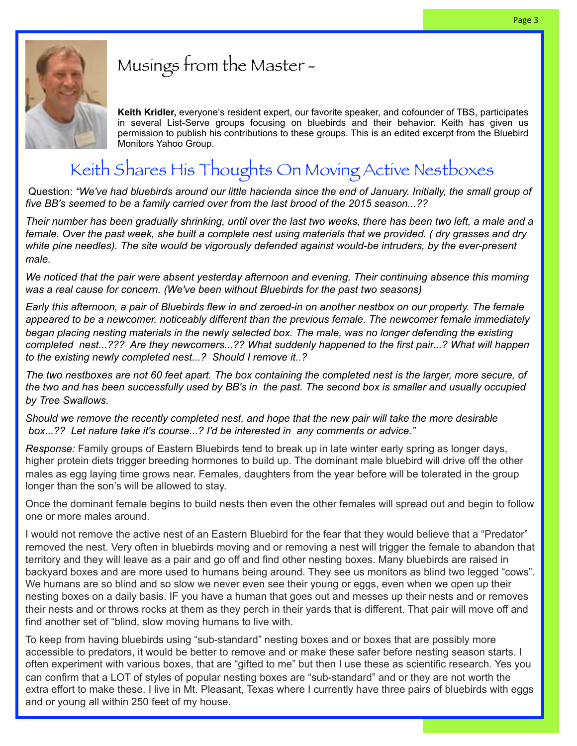

# Musings from the Master -

**Keith Kridler,** everyone's resident expert, our favorite speaker, and cofounder of TBS, participates in several List-Serve groups focusing on bluebirds and their behavior. Keith has given us permission to publish his contributions to these groups. This is an edited excerpt from the Bluebird Monitors Yahoo Group.

# Keith Shares His Thoughts On Moving Active Nestboxes

 Question: *"We've had bluebirds around our little hacienda since the end of January. Initially, the small group of five BB's seemed to be a family carried over from the last brood of the 2015 season...??*

*Their number has been gradually shrinking, until over the last two weeks, there has been two left, a male and a female. Over the past week, she built a complete nest using materials that we provided. ( dry grasses and dry white pine needles). The site would be vigorously defended against would-be intruders, by the ever-present male.*

*We noticed that the pair were absent yesterday afternoon and evening. Their continuing absence this morning was a real cause for concern. (We've been without Bluebirds for the past two seasons)*

*Early this afternoon, a pair of Bluebirds flew in and zeroed-in on another nestbox on our property. The female appeared to be a newcomer, noticeably different than the previous female. The newcomer female immediately began placing nesting materials in the newly selected box. The male, was no longer defending the existing completed nest...??? Are they newcomers...?? What suddenly happened to the first pair...? What will happen to the existing newly completed nest...? Should I remove it..?* 

*The two nestboxes are not 60 feet apart. The box containing the completed nest is the larger, more secure, of the two and has been successfully used by BB's in the past. The second box is smaller and usually occupied by Tree Swallows.*

*Should we remove the recently completed nest, and hope that the new pair will take the more desirable box...?? Let nature take it's course...? I'd be interested in any comments or advice."* 

*Response:* Family groups of Eastern Bluebirds tend to break up in late winter early spring as longer days, higher protein diets trigger breeding hormones to build up. The dominant male bluebird will drive off the other males as egg laying time grows near. Females, daughters from the year before will be tolerated in the group longer than the son's will be allowed to stay.

Once the dominant female begins to build nests then even the other females will spread out and begin to follow one or more males around.

I would not remove the active nest of an Eastern Bluebird for the fear that they would believe that a "Predator" removed the nest. Very often in bluebirds moving and or removing a nest will trigger the female to abandon that territory and they will leave as a pair and go off and find other nesting boxes. Many bluebirds are raised in backyard boxes and are more used to humans being around. They see us monitors as blind two legged "cows". We humans are so blind and so slow we never even see their young or eggs, even when we open up their nesting boxes on a daily basis. IF you have a human that goes out and messes up their nests and or removes their nests and or throws rocks at them as they perch in their yards that is different. That pair will move off and find another set of "blind, slow moving humans to live with.

To keep from having bluebirds using "sub-standard" nesting boxes and or boxes that are possibly more accessible to predators, it would be better to remove and or make these safer before nesting season starts. I often experiment with various boxes, that are "gifted to me" but then I use these as scientific research. Yes you can confirm that a LOT of styles of popular nesting boxes are "sub-standard" and or they are not worth the extra effort to make these. I live in Mt. Pleasant, Texas where I currently have three pairs of bluebirds with eggs and or young all within 250 feet of my house.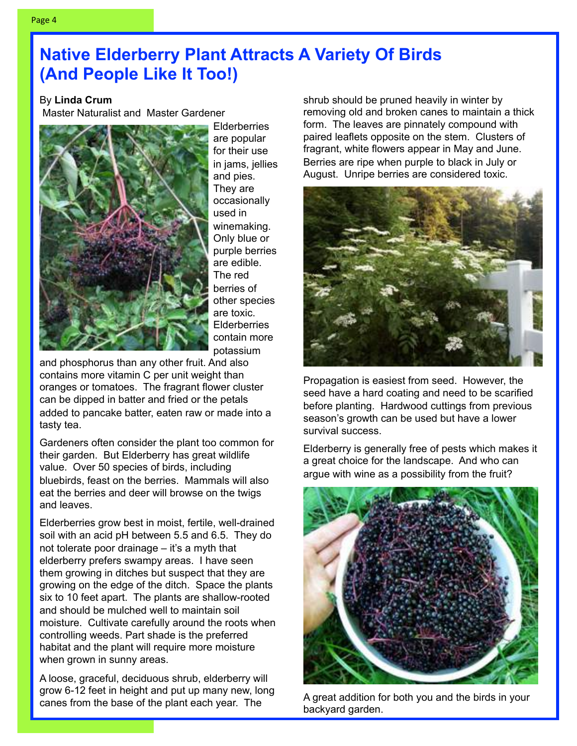# **Native Elderberry Plant Attracts A Variety Of Birds (And People Like It Too!)**

#### By **Linda Crum**

Master Naturalist and Master Gardener



Elderberries are popular for their use in jams, jellies and pies. They are occasionally used in winemaking. Only blue or purple berries are edible. The red berries of other species are toxic. **Elderberries** contain more potassium

and phosphorus than any other fruit. And also contains more vitamin C per unit weight than oranges or tomatoes. The fragrant flower cluster can be dipped in batter and fried or the petals added to pancake batter, eaten raw or made into a tasty tea.

Gardeners often consider the plant too common for their garden. But Elderberry has great wildlife value. Over 50 species of birds, including bluebirds, feast on the berries. Mammals will also eat the berries and deer will browse on the twigs and leaves.

Elderberries grow best in moist, fertile, well-drained soil with an acid pH between 5.5 and 6.5. They do not tolerate poor drainage – it's a myth that elderberry prefers swampy areas. I have seen them growing in ditches but suspect that they are growing on the edge of the ditch. Space the plants six to 10 feet apart. The plants are shallow-rooted and should be mulched well to maintain soil moisture. Cultivate carefully around the roots when controlling weeds. Part shade is the preferred habitat and the plant will require more moisture when grown in sunny areas.

A loose, graceful, deciduous shrub, elderberry will grow 6-12 feet in height and put up many new, long canes from the base of the plant each year. The

shrub should be pruned heavily in winter by removing old and broken canes to maintain a thick form. The leaves are pinnately compound with paired leaflets opposite on the stem. Clusters of fragrant, white flowers appear in May and June. Berries are ripe when purple to black in July or August. Unripe berries are considered toxic.



Propagation is easiest from seed. However, the seed have a hard coating and need to be scarified before planting. Hardwood cuttings from previous season's growth can be used but have a lower survival success.

Elderberry is generally free of pests which makes it a great choice for the landscape. And who can argue with wine as a possibility from the fruit?



A great addition for both you and the birds in your backyard garden.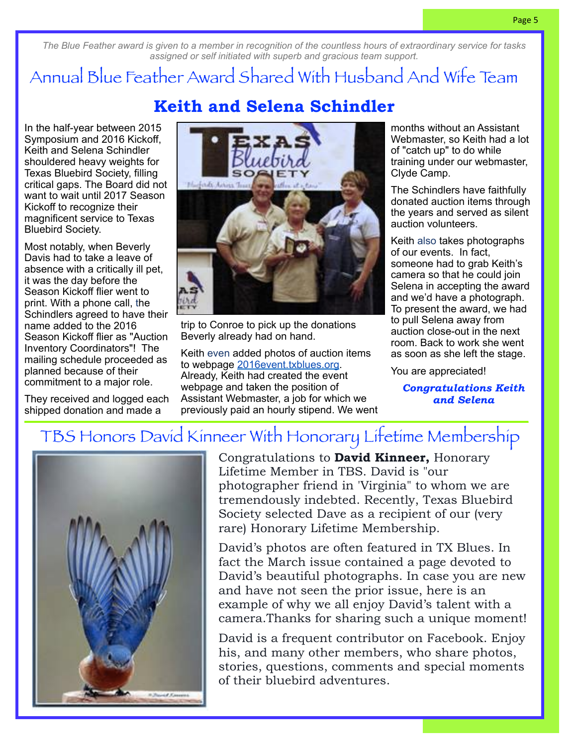*The Blue Feather award is given to a member in recognition of the countless hours of extraordinary service for tasks assigned or self initiated with superb and gracious team support.*

# Annual Blue Feather Award Shared With Husband And Wife Team

**Keith and Selena Schindler**

In the half-year between 2015 Symposium and 2016 Kickoff, Keith and Selena Schindler shouldered heavy weights for Texas Bluebird Society, filling critical gaps. The Board did not want to wait until 2017 Season Kickoff to recognize their magnificent service to Texas Bluebird Society.

Most notably, when Beverly Davis had to take a leave of absence with a critically ill pet, it was the day before the Season Kickoff flier went to print. With a phone call, the Schindlers agreed to have their name added to the 2016 Season Kickoff flier as "Auction Inventory Coordinators"! The mailing schedule proceeded as planned because of their commitment to a major role.

They received and logged each shipped donation and made a



trip to Conroe to pick up the donations Beverly already had on hand.

Keith even added photos of auction items to webpage [2016event.txblues.org.](http://2016event.txblues.org/) Already, Keith had created the event webpage and taken the position of Assistant Webmaster, a job for which we previously paid an hourly stipend. We went months without an Assistant Webmaster, so Keith had a lot of "catch up" to do while training under our webmaster, Clyde Camp.

The Schindlers have faithfully donated auction items through the years and served as silent auction volunteers.

Keith also takes photographs of our events. In fact, someone had to grab Keith's camera so that he could join Selena in accepting the award and we'd have a photograph. To present the award, we had to pull Selena away from auction close-out in the next room. Back to work she went as soon as she left the stage.

You are appreciated!

*Congratulations Keith and Selena*

# TBS Honors David Kinneer With Honorary Lifetime Membership



Congratulations to **David Kinneer,** Honorary Lifetime Member in TBS. David is "our photographer friend in 'Virginia" to whom we are tremendously indebted. Recently, Texas Bluebird Society selected Dave as a recipient of our (very rare) Honorary Lifetime Membership.

David's photos are often featured in TX Blues. In fact the March issue contained a page devoted to David's beautiful photographs. In case you are new and have not seen the prior issue, here is an example of why we all enjoy David's talent with a camera.Thanks for sharing such a unique moment!

David is a frequent contributor on Facebook. Enjoy his, and many other members, who share photos, stories, questions, comments and special moments of their bluebird adventures.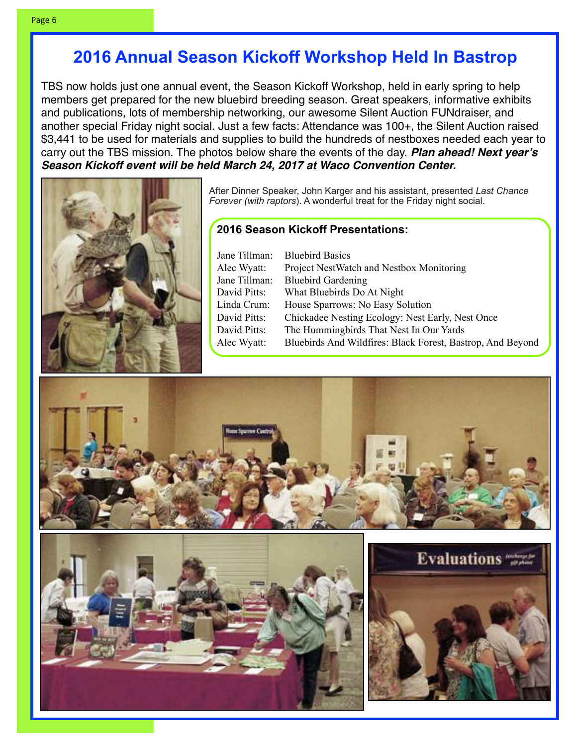# **2016 Annual Season Kickoff Workshop Held In Bastrop**

TBS now holds just one annual event, the Season Kickoff Workshop, held in early spring to help members get prepared for the new bluebird breeding season. Great speakers, informative exhibits and publications, lots of membership networking, our awesome Silent Auction FUNdraiser, and another special Friday night social. Just a few facts: Attendance was 100+, the Silent Auction raised \$3,441 to be used for materials and supplies to build the hundreds of nestboxes needed each year to carry out the TBS mission. The photos below share the events of the day. *Plan ahead! Next year's Season Kickoff event will be held March 24, 2017 at Waco Convention Center.* 



After Dinner Speaker, John Karger and his assistant, presented *Last Chance Forever (with raptors*). A wonderful treat for the Friday night social.

#### **2016 Season Kickoff Presentations:**

| Jane Tillman: | <b>Bluebird Basics</b>                                     |
|---------------|------------------------------------------------------------|
| Alec Wyatt:   | Project NestWatch and Nestbox Monitoring                   |
| Jane Tillman: | <b>Bluebird Gardening</b>                                  |
| David Pitts:  | What Bluebirds Do At Night                                 |
| Linda Crum:   | House Sparrows: No Easy Solution                           |
| David Pitts:  | Chickadee Nesting Ecology: Nest Early, Nest Once           |
| David Pitts:  | The Hummingbirds That Nest In Our Yards                    |
| Alec Wyatt:   | Bluebirds And Wildfires: Black Forest, Bastrop, And Beyond |
|               |                                                            |





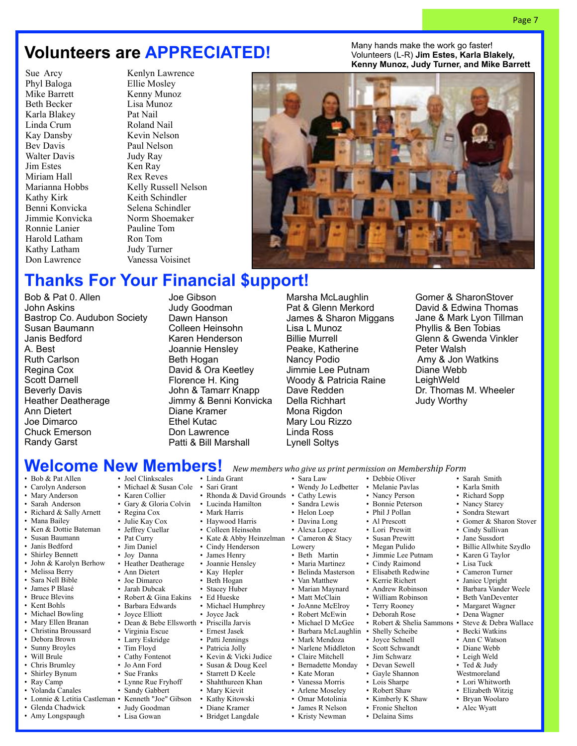# **Volunteers are APPRECIATED!**

Sue Arcy Phyl Baloga Mike Barrett Beth Becker Karla Blakey Linda Crum Kay Dansby Bev Davis Walter Davis Jim Estes Miriam Hall Marianna Hobbs Kathy Kirk Benni Konvicka Jimmie Konvicka Ronnie Lanier Harold Latham Kathy Latham Don Lawrence

Kenlyn Lawrence Ellie Mosley Kenny Munoz Lisa Munoz Pat Nail Roland Nail Kevin Nelson Paul Nelson Judy Ray Ken Ray Rex Reves Kelly Russell Nelson Keith Schindler Selena Schindler Norm Shoemaker Pauline Tom Ron Tom Judy Turner Vanessa Voisinet

Many hands make the work go faster! Volunteers (L-R) **Jim Estes, Karla Blakely, Kenny Munoz, Judy Turner, and Mike Barrett**

Page 7



# **Thanks For Your Financial \$upport!**

Bob & Pat 0. Allen John Askins Bastrop Co. Audubon Society Susan Baumann Janis Bedford A. Best Ruth Carlson Regina Cox Scott Darnell Beverly Davis Heather Deatherage Ann Dietert Joe Dimarco Chuck Emerson Randy Garst

Joe Gibson Judy Goodman Dawn Hanson Colleen Heinsohn Karen Henderson Joannie Hensley Beth Hogan David & Ora Keetley Florence H. King John & Tamarr Knapp Jimmy & Benni Konvicka Diane Kramer Ethel Kutac Don Lawrence Patti & Bill Marshall

> • Kathy Kitowski • Diane Kramer<br>• Bridget Langda • Bridget Langdale

Marsha McLaughlin Pat & Glenn Merkord James & Sharon Miggans Lisa L Munoz Woody & Patricia Raine

Gomer & SharonStover David & Edwina Thomas Jane & Mark Lyon Tillman Phyllis & Ben Tobias Glenn & Gwenda Vinkler Peter Walsh Amy & Jon Watkins Diane Webb **LeighWeld** Dr. Thomas M. Wheeler Judy Worthy

• Bob & Pat Allen

- Carolyn Anderson • Mary Anderson
- 
- Sarah Anderson
- Richard & Sally Arnett
- Mana Bailey
- Ken & Dottie Bateman
- Susan Baumann
- Janis Bedford
- Shirley Bennett
- John & Karolyn Berhow
- Melissa Berry • Sara Nell Bible
- James P Blasé
- Bruce Blevins
- Kent Bohls
- 
- Michael Bowling
- Mary Ellen Branan
- Christina Broussard
- Debora Brown
- Sunny Broyles
- Will Brule
- Chris Brumley
- Shirley Bynum
- Ray Camp
- Yolanda Canales
- 
- Glenda Chadwick
- Amy Longspaugh

• Karen Collier

- 
- Regina Cox
- Julie Kay Cox • Jeffrey Cuellar
- Pat Curry
- Jim Daniel
- Joy Danna
- Heather Deatherage
- Ann Dietert
- Joe Dimarco
- Jarah Dubcak
- Robert & Gina Eakins
- Barbara Edwards
- 
- Joyce Elliott
- 
- Virginia Escue
- Larry Eskridge
- Tim Floyd
- Cathy Fontenot
- Jo Ann Ford
- Sue Franks
- Lynne Rue Fryhoff
- Sandy Gabbert
- 
- Lonnie & Letitia Castleman Kenneth "Joe" Gibson
	- Judy Goodman
	- Lisa Gowan

Billie Murrell Peake, Katherine Nancy Podio Jimmie Lee Putnam Dave Redden Della Richhart Mona Rigdon Mary Lou Rizzo Linda Ross Lynell Soltys

**Welcome New Members!** New members who give us print permission on Membership Form • Joel Clinkscales • Michael & Susan Cole • Sari Grant • Gary & Gloria Colvin • Dean & Bebe Ellsworth • • Linda Grant • Rhonda & David Grounds • Lucinda Hamilton • Mark Harris • Haywood Harris • Colleen Heinsohn • Kate & Abby Heinzelman • Cameron & Stacy Cindy Henderson James Henry Joannie Hensley Kay Hepler Beth Hogan Stacey Huber • Ed Hueske • Michael Humphrey<br>• Joyce Jack Joyce Jack • Priscilla Jarvis • Ernest Jasek Patti Jennings • Patricia Jolly Kevin & Vicki Judice • Susan & Doug Keel Starrett D Keele • Shahthureen Khan • Mary Kievit<br>• Kathy Kitow • Sara Law • Wendy Jo Ledbetter Cathy Lewis • Sandra Lewis • Helon Loep • Davina Long • Alexa Lopez Lowery • Beth Martin • Maria Martinez • Belinda Masterson Van Matthew • Marian Maynard • Matt McClain • JoAnne McElroy • Robert McEwin • Michael D McGee • Barbara McLaughlin • Shelly Scheibe • Mark Mendoza • Narlene Middleton • Claire Mitchell • Bernadette Monday • Kate Moran • Vanessa Morris • Arlene Moseley • Debbie Oliver • Melanie Pavlas • Nancy Person • Bonnie Peterson • Phil J Pollan • Al Prescott • Lori Prewitt • Susan Prewitt • Megan Pulido • Jimmie Lee Putnam • Cindy Raimond • Elisabeth Redwine • Kerrie Richert • Andrew Robinson • William Robinson • Terry Rooney • Deborah Rose • Robert & Shelia Sammons • Steve & Debra Wallace • Joyce Schnell • Scott Schwandt • Jim Schwarz • Devan Sewell • Gayle Shannon • Lois Sharpe • Robert Shaw • Sarah Smith • Karla Smith • Richard Sopp • Nancy Starey • Sondra Stewart • Cindy Sullivan • Jane Sussdort • Karen G Taylor • Lisa Tuck • Cameron Turner • Janice Upright • Barbara Vander Weele • Beth VanDeventer • Margaret Wagner • Dena Wagner • Becki Watkins • Ann C Watson • Diane Webb • Leigh Weld • Ted & Judy Westmoreland • Lori Whitworth

• Kristy Newman

- Omar Motolinia • James R Nelson • Kimberly K Shaw
	- Fronie Shelton
	- Delaina Sims
- Gomer & Sharon Stover
- Billie Allwhite Szydlo
- 
- 
- 
- 
- 
- 
- 
- 
- 
- Elizabeth Witzig
- Bryan Woolaro • Alec Wyatt